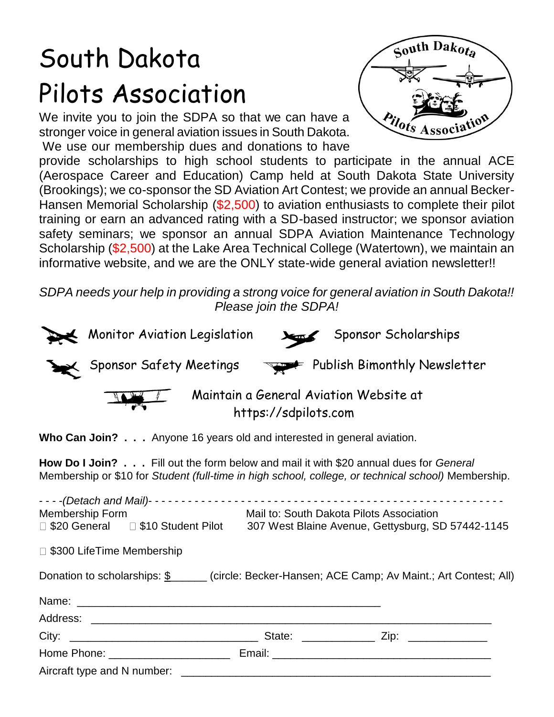# South Dakota Pilots Association

We invite you to join the SDPA so that we can have a stronger voice in general aviation issues in South Dakota. We use our membership dues and donations to have



provide scholarships to high school students to participate in the annual ACE (Aerospace Career and Education) Camp held at South Dakota State University (Brookings); we co-sponsor the SD Aviation Art Contest; we provide an annual Becker-Hansen Memorial Scholarship (\$2,500) to aviation enthusiasts to complete their pilot training or earn an advanced rating with a SD-based instructor; we sponsor aviation safety seminars; we sponsor an annual SDPA Aviation Maintenance Technology Scholarship (\$2,500) at the Lake Area Technical College (Watertown), we maintain an informative website, and we are the ONLY state-wide general aviation newsletter!!

*SDPA needs your help in providing a strong voice for general aviation in South Dakota!! Please join the SDPA!*

| Monitor Aviation Legislation | Sponsor Scholarships                                           |  |
|------------------------------|----------------------------------------------------------------|--|
| Sponsor Safety Meetings      | Publish Bimonthly Newsletter                                   |  |
|                              | Maintain a General Aviation Website at<br>https://sdpilots.com |  |

**Who Can Join? . . .** Anyone 16 years old and interested in general aviation.

**How Do I Join? . . .** Fill out the form below and mail it with \$20 annual dues for *General* Membership or \$10 for *Student (full-time in high school, college, or technical school)* Membership.

| Donation to scholarships: \$______ (circle: Becker-Hansen; ACE Camp; Av Maint.; Art Contest; All) |                                                                                                                                   |  |  |
|---------------------------------------------------------------------------------------------------|-----------------------------------------------------------------------------------------------------------------------------------|--|--|
|                                                                                                   |                                                                                                                                   |  |  |
|                                                                                                   |                                                                                                                                   |  |  |
|                                                                                                   |                                                                                                                                   |  |  |
|                                                                                                   |                                                                                                                                   |  |  |
|                                                                                                   |                                                                                                                                   |  |  |
|                                                                                                   | Mail to: South Dakota Pilots Association<br>□ \$20 General □ \$10 Student Pilot 307 West Blaine Avenue, Gettysburg, SD 57442-1145 |  |  |